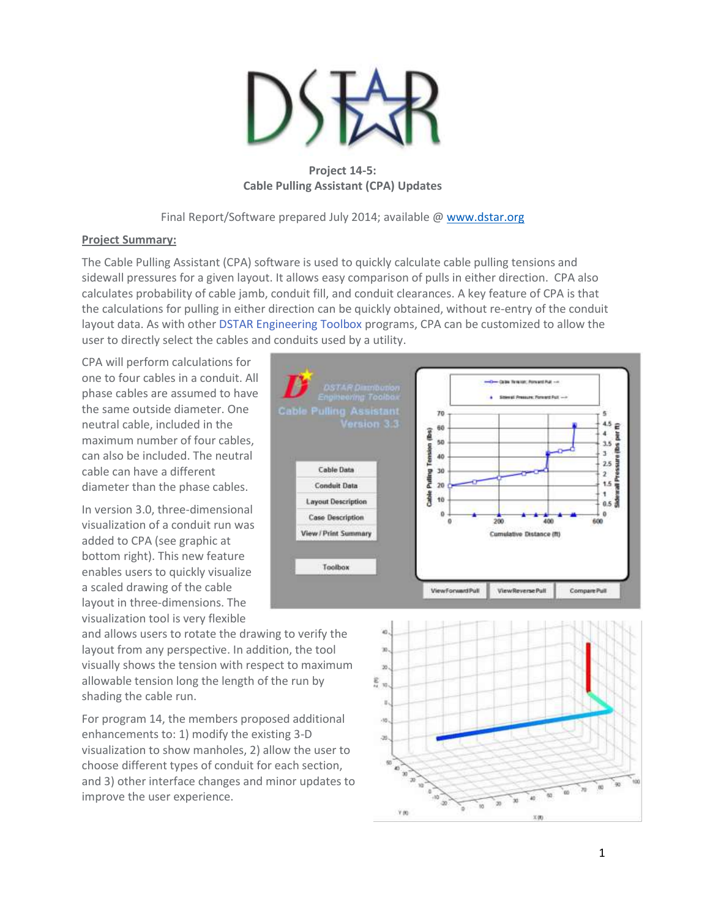

**Project 14-5: Cable Pulling Assistant (CPA) Updates**

Final Report/Software prepared July 2014; available [@ www.dstar.org](http://www.dstar.org/research/project-desc/CPA/)

## **Project Summary:**

The Cable Pulling Assistant (CPA) software is used to quickly calculate cable pulling tensions and sidewall pressures for a given layout. It allows easy comparison of pulls in either direction. CPA also calculates probability of cable jamb, conduit fill, and conduit clearances. A key feature of CPA is that the calculations for pulling in either direction can be quickly obtained, without re-entry of the conduit layout data. As with other DSTAR [Engineering](http://www.dstar.org/research/project-desc/toolbox/) Toolbox programs, CPA can be customized to allow the user to directly select the cables and conduits used by a utility.

CPA will perform calculations for one to four cables in a conduit. All phase cables are assumed to have the same outside diameter. One neutral cable, included in the maximum number of four cables, can also be included. The neutral cable can have a different diameter than the phase cables.

In version 3.0, three-dimensional visualization of a conduit run was added to CPA (see graphic at bottom right). This new feature enables users to quickly visualize a scaled drawing of the cable layout in three-dimensions. The visualization tool is very flexible

Cable Pulling Assistant  $70$ 5  $^{4.5}$   $\in$ 60 This is  $\ddot{\phantom{a}}$ this per 50  $3.5$ **Taxing Links** 3 40  $2.5$ **Cable Data** 30 Putling  $\mathbf{2}$ Ě  $1.5$ **Conduit Data**  $20$ ŧ Cable 10  $0.5<sup>3</sup>$ **Layout Description**  $\ddot{\mathbf{0}}$ **Case Description** 600 400 200 **View / Print Summary** Cumulative Distance (ft) Toolbox ViewForwardPull View Reverse Pull Compare Pull

and allows users to rotate the drawing to verify the layout from any perspective. In addition, the tool visually shows the tension with respect to maximum allowable tension long the length of the run by shading the cable run.

For program 14, the members proposed additional enhancements to: 1) modify the existing 3-D visualization to show manholes, 2) allow the user to choose different types of conduit for each section, and 3) other interface changes and minor updates to improve the user experience.